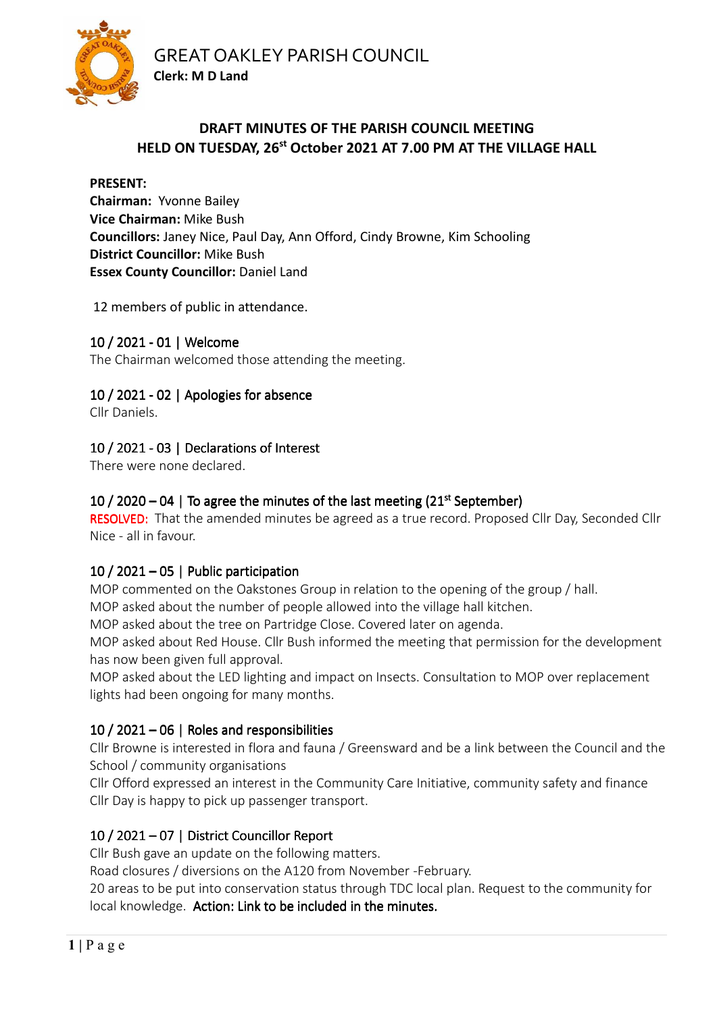



# **DRAFT MINUTES OF THE PARISH COUNCIL MEETING HELD ON TUESDAY, 26st October 2021 AT 7.00 PM AT THE VILLAGE HALL**

#### **PRESENT:**

**Chairman:** Yvonne Bailey **Vice Chairman:** Mike Bush **Councillors:** Janey Nice, Paul Day, Ann Offord, Cindy Browne, Kim Schooling **District Councillor:** Mike Bush **Essex County Councillor: Daniel Land** 

12 members of public in attendance.

# 10 / 2021 - 01 | Welcome

The Chairman welcomed those attending the meeting.

# 10 / 2021 - 02 | Apologies for absence

Cllr Daniels.

# 10 / 2021 - 03 | Declarations of Interest

There were none declared.

# 10 / 2020 – 04 | To agree the minutes of the last meeting  $(21<sup>st</sup> September)$

RESOLVED: That the amended minutes be agreed as a true record. Proposed Cllr Day, Seconded Cllr Nice - all in favour.

## 10 / 2021 – 05 | Public participation

MOP commented on the Oakstones Group in relation to the opening of the group / hall.

MOP asked about the number of people allowed into the village hall kitchen.

MOP asked about the tree on Partridge Close. Covered later on agenda.

MOP asked about Red House. Cllr Bush informed the meeting that permission for the development has now been given full approval.

MOP asked about the LED lighting and impact on Insects. Consultation to MOP over replacement lights had been ongoing for many months.

# 10 / 2021 – 06 | Roles and responsibilities

Cllr Browne is interested in flora and fauna / Greensward and be a link between the Council and the School / community organisations

Cllr Offord expressed an interest in the Community Care Initiative, community safety and finance Cllr Day is happy to pick up passenger transport.

# 10 / 2021 – 07 | District Councillor Report

Cllr Bush gave an update on the following matters.

Road closures / diversions on the A120 from November -February.

20 areas to be put into conservation status through TDC local plan. Request to the community for local knowledge. Action: Link to be included in the minutes.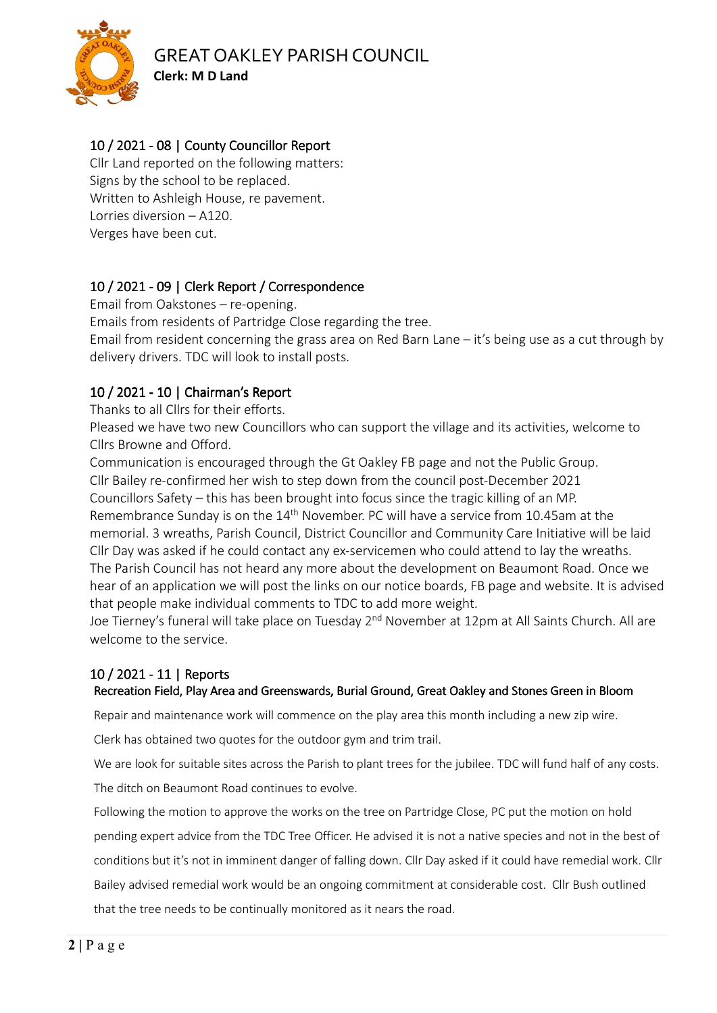

# GREAT OAKLEY PARISH COUNCIL

**Clerk: M D Land** 

# 10 / 2021 - 08 | County Councillor Report

Cllr Land reported on the following matters: Signs by the school to be replaced. Written to Ashleigh House, re pavement. Lorries diversion – A120. Verges have been cut.

# 10 / 2021 - 09 | Clerk Report / Correspondence

Email from Oakstones – re-opening.

Emails from residents of Partridge Close regarding the tree.

Email from resident concerning the grass area on Red Barn Lane – it's being use as a cut through by delivery drivers. TDC will look to install posts.

# 10/ 2021 -10| Chairman's Report | Chairman's Report| Chairman's Report

Thanks to all Cllrs for their efforts.

Pleased we have two new Councillors who can support the village and its activities, welcome to Cllrs Browne and Offord.

Communication is encouraged through the Gt Oakley FB page and not the Public Group. Cllr Bailey re-confirmed her wish to step down from the council post-December 2021 Councillors Safety – this has been brought into focus since the tragic killing of an MP. Remembrance Sunday is on the 14<sup>th</sup> November. PC will have a service from 10.45am at the memorial. 3 wreaths, Parish Council, District Councillor and Community Care Initiative will be laid Cllr Day was asked if he could contact any ex-servicemen who could attend to lay the wreaths. The Parish Council has not heard any more about the development on Beaumont Road. Once we hear of an application we will post the links on our notice boards, FB page and website. It is advised that people make individual comments to TDC to add more weight.

Joe Tierney's funeral will take place on Tuesday 2<sup>nd</sup> November at 12pm at All Saints Church. All are welcome to the service.

# 10 / 2021 - 11 | Reports

## Recreation Field, Play Area and Greenswards, Burial Ground, Great Oakley and Stones Green in Bloom

Repair and maintenance work will commence on the play area this month including a new zip wire.

Clerk has obtained two quotes for the outdoor gym and trim trail.

We are look for suitable sites across the Parish to plant trees for the jubilee. TDC will fund half of any costs.

The ditch on Beaumont Road continues to evolve.

Following the motion to approve the works on the tree on Partridge Close, PC put the motion on hold pending expert advice from the TDC Tree Officer. He advised it is not a native species and not in the best of conditions but it's not in imminent danger of falling down. Cllr Day asked if it could have remedial work. Cllr Bailey advised remedial work would be an ongoing commitment at considerable cost. Cllr Bush outlined that the tree needs to be continually monitored as it nears the road.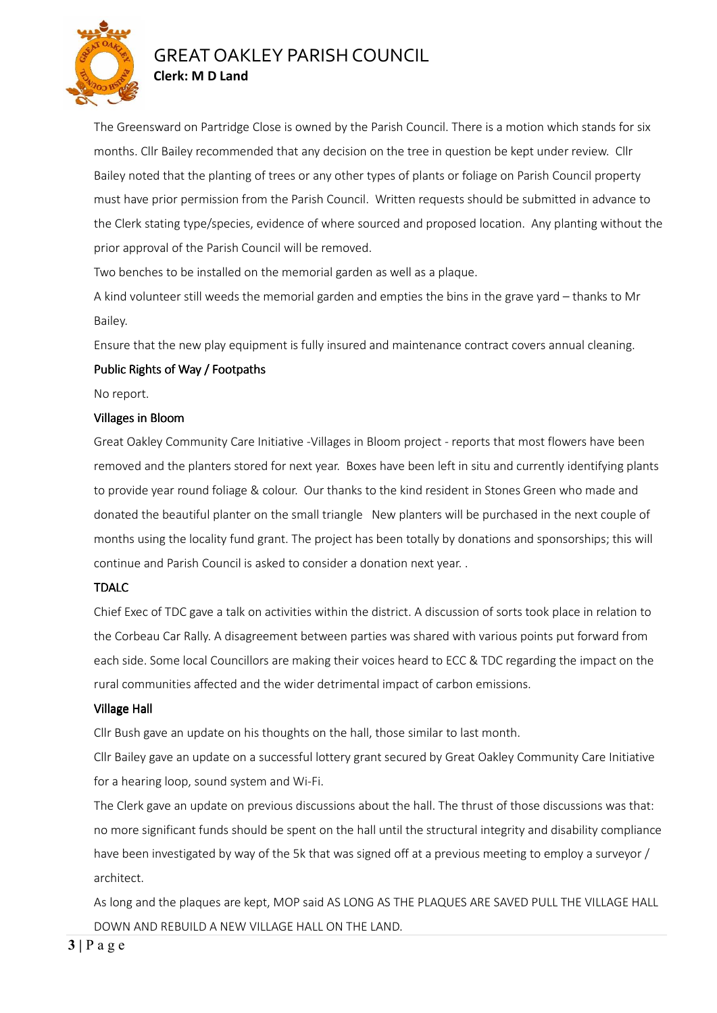

# GREAT OAKLEY PARISH COUNCIL **Clerk: M D Land**

The Greensward on Partridge Close is owned by the Parish Council. There is a motion which stands for six months. Cllr Bailey recommended that any decision on the tree in question be kept under review. Cllr Bailey noted that the planting of trees or any other types of plants or foliage on Parish Council property must have prior permission from the Parish Council. Written requests should be submitted in advance to the Clerk stating type/species, evidence of where sourced and proposed location. Any planting without the prior approval of the Parish Council will be removed.

Two benches to be installed on the memorial garden as well as a plaque.

A kind volunteer still weeds the memorial garden and empties the bins in the grave yard – thanks to Mr Bailey.

Ensure that the new play equipment is fully insured and maintenance contract covers annual cleaning.

#### Public Rights of Way / Footpaths

No report.

#### Villages in Bloom

Great Oakley Community Care Initiative -Villages in Bloom project - reports that most flowers have been removed and the planters stored for next year. Boxes have been left in situ and currently identifying plants to provide year round foliage & colour. Our thanks to the kind resident in Stones Green who made and donated the beautiful planter on the small triangle New planters will be purchased in the next couple of months using the locality fund grant. The project has been totally by donations and sponsorships; this will continue and Parish Council is asked to consider a donation next year. .

#### TDALC

Chief Exec of TDC gave a talk on activities within the district. A discussion of sorts took place in relation to the Corbeau Car Rally. A disagreement between parties was shared with various points put forward from each side. Some local Councillors are making their voices heard to ECC & TDC regarding the impact on the rural communities affected and the wider detrimental impact of carbon emissions.

#### Village Hall

Cllr Bush gave an update on his thoughts on the hall, those similar to last month.

Cllr Bailey gave an update on a successful lottery grant secured by Great Oakley Community Care Initiative for a hearing loop, sound system and Wi-Fi.

The Clerk gave an update on previous discussions about the hall. The thrust of those discussions was that: no more significant funds should be spent on the hall until the structural integrity and disability compliance have been investigated by way of the 5k that was signed off at a previous meeting to employ a surveyor / architect.

As long and the plaques are kept, MOP said AS LONG AS THE PLAQUES ARE SAVED PULL THE VILLAGE HALL DOWN AND REBUILD A NEW VILLAGE HALL ON THE LAND.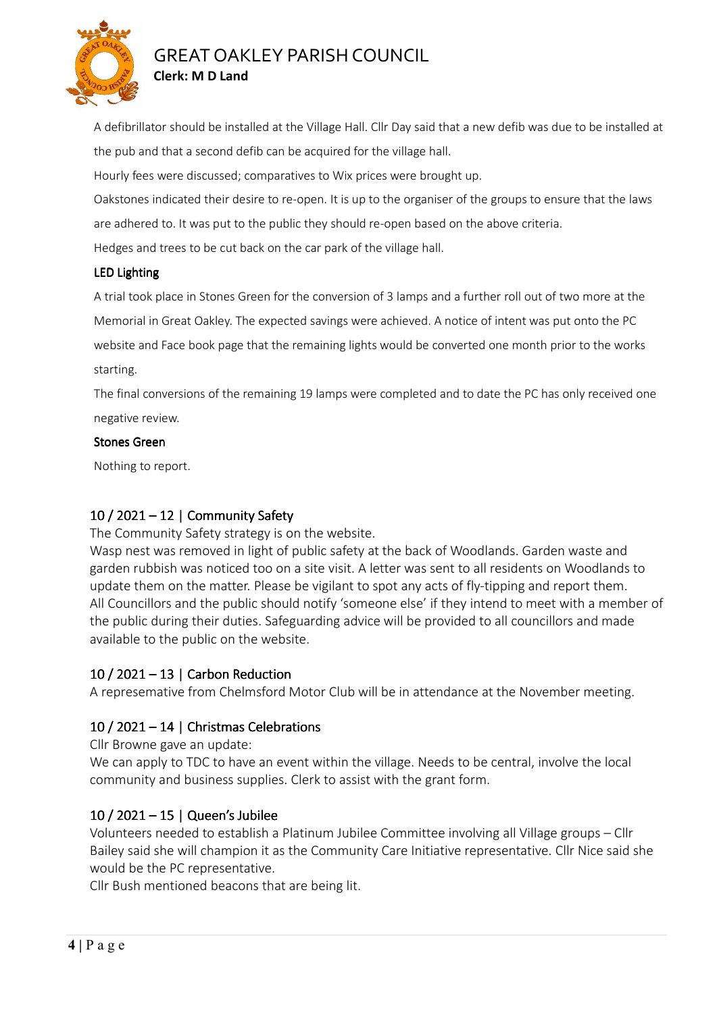

# GREAT OAKLEY PARISH COUNCIL **Clerk: M D Land**

A defibrillator should be installed at the Village Hall. Cllr Day said that a new defib was due to be installed at the pub and that a second defib can be acquired for the village hall.

Hourly fees were discussed; comparatives to Wix prices were brought up.

Oakstones indicated their desire to re-open. It is up to the organiser of the groups to ensure that the laws are adhered to. It was put to the public they should re-open based on the above criteria.

Hedges and trees to be cut back on the car park of the village hall.

#### LED Lighting

A trial took place in Stones Green for the conversion of 3 lamps and a further roll out of two more at the Memorial in Great Oakley. The expected savings were achieved. A notice of intent was put onto the PC website and Face book page that the remaining lights would be converted one month prior to the works starting.

The final conversions of the remaining 19 lamps were completed and to date the PC has only received one negative review.

#### Stones Green

Nothing to report.

## $10/2021 - 12$  Community Safety

The Community Safety strategy is on the website.

Wasp nest was removed in light of public safety at the back of Woodlands. Garden waste and garden rubbish was noticed too on a site visit. A letter was sent to all residents on Woodlands to update them on the matter. Please be vigilant to spot any acts of fly-tipping and report them. All Councillors and the public should notify 'someone else' if they intend to meet with a member of the public during their duties. Safeguarding advice will be provided to all councillors and made available to the public on the website.

## 10 / 2021 – 13 | Carbon Reduction

A represemative from Chelmsford Motor Club will be in attendance at the November meeting.

## 10 / 2021 – 14 | Christmas Celebrations

Cllr Browne gave an update:

We can apply to TDC to have an event within the village. Needs to be central, involve the local community and business supplies. Clerk to assist with the grant form.

## $10 / 2021 - 15$  | Queen's Jubilee

Volunteers needed to establish a Platinum Jubilee Committee involving all Village groups – Cllr Bailey said she will champion it as the Community Care Initiative representative. Cllr Nice said she would be the PC representative.

Cllr Bush mentioned beacons that are being lit.